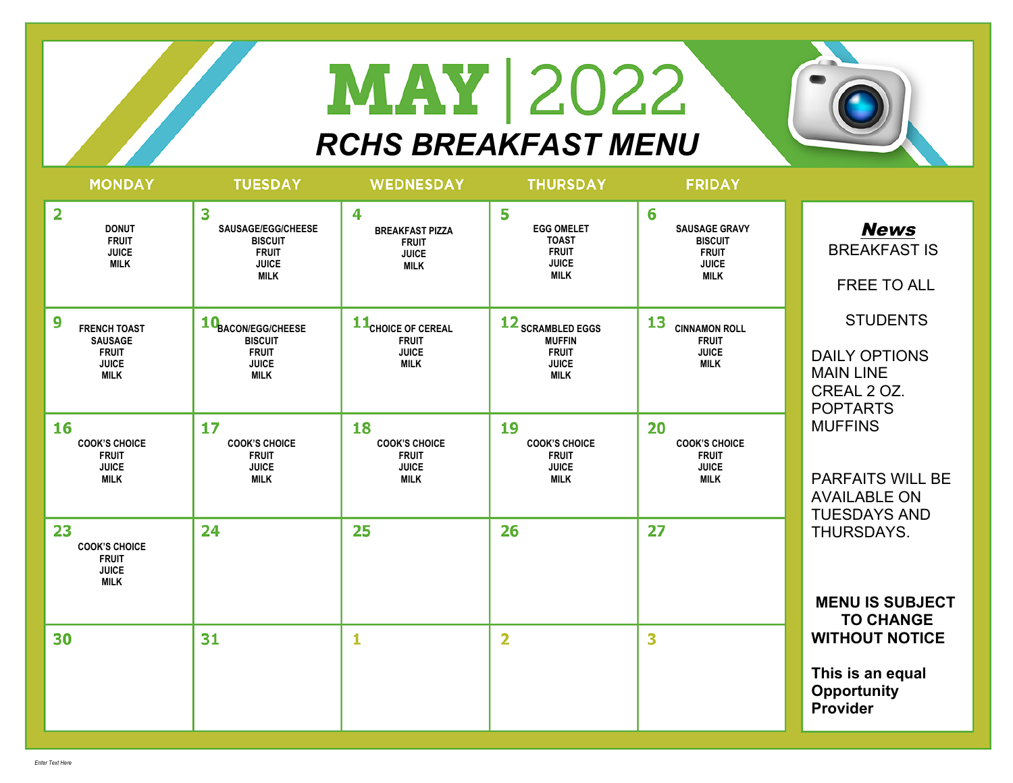## **MAY** 2022 *RCHS BREAKFAST MENU*